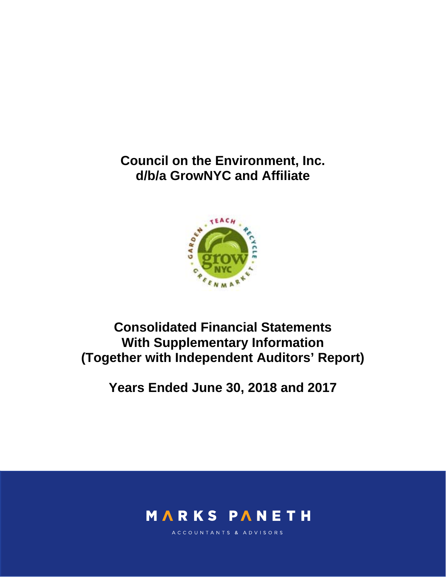**Council on the Environment, Inc. d/b/a GrowNYC and Affiliate** 



**Consolidated Financial Statements With Supplementary Information (Together with Independent Auditors' Report)** 

**Years Ended June 30, 2018 and 2017** 



ACCOUNTANTS & ADVISORS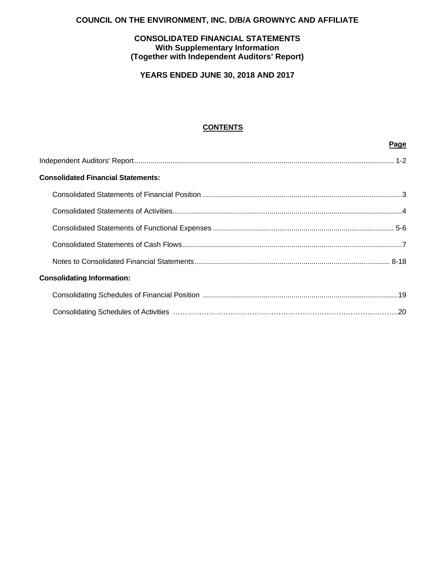## **COUNCIL ON THE ENVIRONMENT, INC. D/B/A GROWNYC AND AFFILIATE**

## **CONSOLIDATED FINANCIAL STATEMENTS With Supplementary Information (Together with Independent Auditors' Report)**

**YEARS ENDED JUNE 30, 2018 AND 2017** 

## **CONTENTS**

|                                           | Page |
|-------------------------------------------|------|
|                                           |      |
| <b>Consolidated Financial Statements:</b> |      |
|                                           |      |
|                                           |      |
|                                           |      |
|                                           |      |
|                                           |      |
| <b>Consolidating Information:</b>         |      |
|                                           |      |
|                                           |      |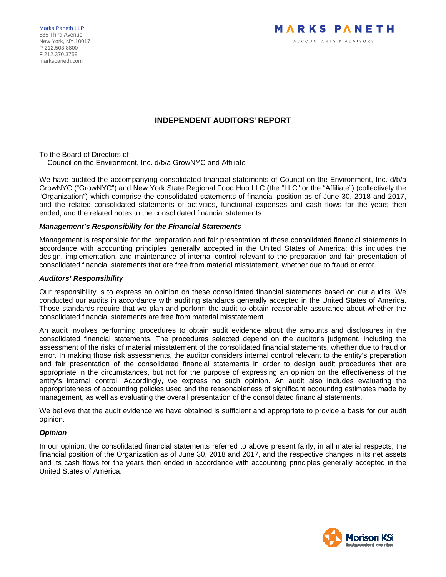Marks Paneth LLP 685 Third Avenue New York, NY 10017 P 212.503.8800 F 212.370.3759 markspaneth.com



## **INDEPENDENT AUDITORS' REPORT**

To the Board of Directors of Council on the Environment, Inc. d/b/a GrowNYC and Affiliate

We have audited the accompanying consolidated financial statements of Council on the Environment, Inc. d/b/a GrowNYC ("GrowNYC") and New York State Regional Food Hub LLC (the "LLC" or the "Affiliate") (collectively the "Organization") which comprise the consolidated statements of financial position as of June 30, 2018 and 2017, and the related consolidated statements of activities, functional expenses and cash flows for the years then ended, and the related notes to the consolidated financial statements.

#### *Management's Responsibility for the Financial Statements*

Management is responsible for the preparation and fair presentation of these consolidated financial statements in accordance with accounting principles generally accepted in the United States of America; this includes the design, implementation, and maintenance of internal control relevant to the preparation and fair presentation of consolidated financial statements that are free from material misstatement, whether due to fraud or error.

#### *Auditors' Responsibility*

Our responsibility is to express an opinion on these consolidated financial statements based on our audits. We conducted our audits in accordance with auditing standards generally accepted in the United States of America. Those standards require that we plan and perform the audit to obtain reasonable assurance about whether the consolidated financial statements are free from material misstatement.

An audit involves performing procedures to obtain audit evidence about the amounts and disclosures in the consolidated financial statements. The procedures selected depend on the auditor's judgment, including the assessment of the risks of material misstatement of the consolidated financial statements, whether due to fraud or error. In making those risk assessments, the auditor considers internal control relevant to the entity's preparation and fair presentation of the consolidated financial statements in order to design audit procedures that are appropriate in the circumstances, but not for the purpose of expressing an opinion on the effectiveness of the entity's internal control. Accordingly, we express no such opinion. An audit also includes evaluating the appropriateness of accounting policies used and the reasonableness of significant accounting estimates made by management, as well as evaluating the overall presentation of the consolidated financial statements.

We believe that the audit evidence we have obtained is sufficient and appropriate to provide a basis for our audit opinion.

#### *Opinion*

In our opinion, the consolidated financial statements referred to above present fairly, in all material respects, the financial position of the Organization as of June 30, 2018 and 2017, and the respective changes in its net assets and its cash flows for the years then ended in accordance with accounting principles generally accepted in the United States of America.

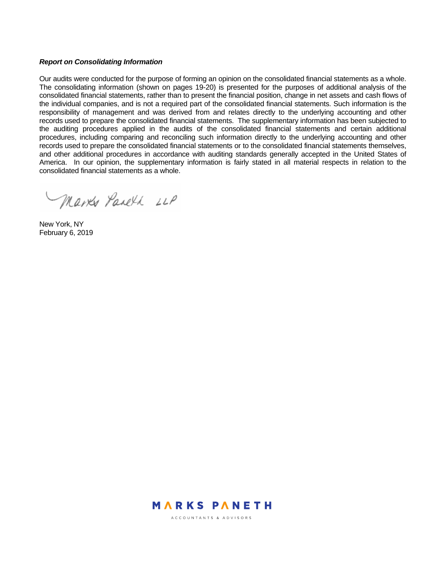#### *Report on Consolidating Information*

Our audits were conducted for the purpose of forming an opinion on the consolidated financial statements as a whole. The consolidating information (shown on pages 19-20) is presented for the purposes of additional analysis of the consolidated financial statements, rather than to present the financial position, change in net assets and cash flows of the individual companies, and is not a required part of the consolidated financial statements. Such information is the responsibility of management and was derived from and relates directly to the underlying accounting and other records used to prepare the consolidated financial statements. The supplementary information has been subjected to the auditing procedures applied in the audits of the consolidated financial statements and certain additional procedures, including comparing and reconciling such information directly to the underlying accounting and other records used to prepare the consolidated financial statements or to the consolidated financial statements themselves, and other additional procedures in accordance with auditing standards generally accepted in the United States of America. In our opinion, the supplementary information is fairly stated in all material respects in relation to the consolidated financial statements as a whole.

Marks Pareth LLP

New York, NY February 6, 2019



ACCOUNTANTS & ADVISORS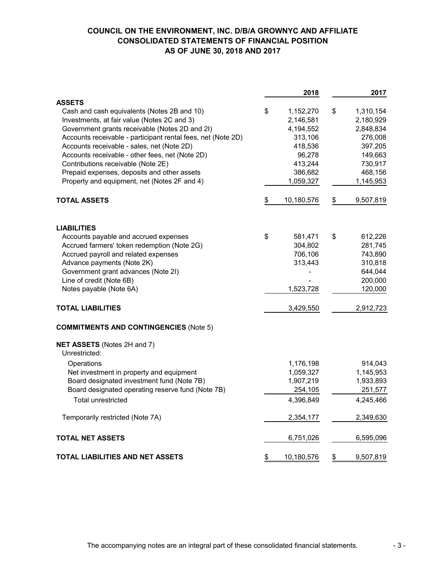## **COUNCIL ON THE ENVIRONMENT, INC. D/B/A GROWNYC AND AFFILIATE CONSOLIDATED STATEMENTS OF FINANCIAL POSITION AS OF JUNE 30, 2018 AND 2017**

|                                                              | 2018             |               | 2017      |
|--------------------------------------------------------------|------------------|---------------|-----------|
| <b>ASSETS</b>                                                |                  |               |           |
| Cash and cash equivalents (Notes 2B and 10)                  | \$<br>1,152,270  | \$            | 1,310,154 |
| Investments, at fair value (Notes 2C and 3)                  | 2,146,581        |               | 2,180,929 |
| Government grants receivable (Notes 2D and 2I)               | 4,194,552        |               | 2,848,834 |
| Accounts receivable - participant rental fees, net (Note 2D) | 313,106          |               | 276,008   |
| Accounts receivable - sales, net (Note 2D)                   | 418,536          |               | 397,205   |
| Accounts receivable - other fees, net (Note 2D)              | 96,278           |               | 149,663   |
| Contributions receivable (Note 2E)                           | 413,244          |               | 730,917   |
| Prepaid expenses, deposits and other assets                  | 386,682          |               | 468,156   |
| Property and equipment, net (Notes 2F and 4)                 | 1,059,327        |               | 1,145,953 |
| <b>TOTAL ASSETS</b>                                          | \$<br>10,180,576 | $\frac{1}{2}$ | 9,507,819 |
| <b>LIABILITIES</b>                                           |                  |               |           |
| Accounts payable and accrued expenses                        | \$<br>581,471    | \$            | 612,226   |
| Accrued farmers' token redemption (Note 2G)                  | 304,802          |               | 281,745   |
| Accrued payroll and related expenses                         | 706,106          |               | 743,890   |
| Advance payments (Note 2K)                                   | 313,443          |               | 310,818   |
| Government grant advances (Note 2I)                          |                  |               | 644,044   |
| Line of credit (Note 6B)                                     |                  |               | 200,000   |
| Notes payable (Note 6A)                                      | 1,523,728        |               | 120,000   |
| <b>TOTAL LIABILITIES</b>                                     | 3,429,550        |               | 2,912,723 |
| <b>COMMITMENTS AND CONTINGENCIES (Note 5)</b>                |                  |               |           |
| NET ASSETS (Notes 2H and 7)<br>Unrestricted:                 |                  |               |           |
| Operations                                                   | 1,176,198        |               | 914,043   |
| Net investment in property and equipment                     | 1,059,327        |               | 1,145,953 |
| Board designated investment fund (Note 7B)                   | 1,907,219        |               | 1,933,893 |
| Board designated operating reserve fund (Note 7B)            | 254,105          |               | 251,577   |
| Total unrestricted                                           | 4,396,849        |               | 4,245,466 |
| Temporarily restricted (Note 7A)                             | 2,354,177        |               | 2,349,630 |
|                                                              |                  |               |           |
| <b>TOTAL NET ASSETS</b>                                      | 6,751,026        |               | 6,595,096 |
| TOTAL LIABILITIES AND NET ASSETS                             | \$<br>10,180,576 | \$            | 9,507,819 |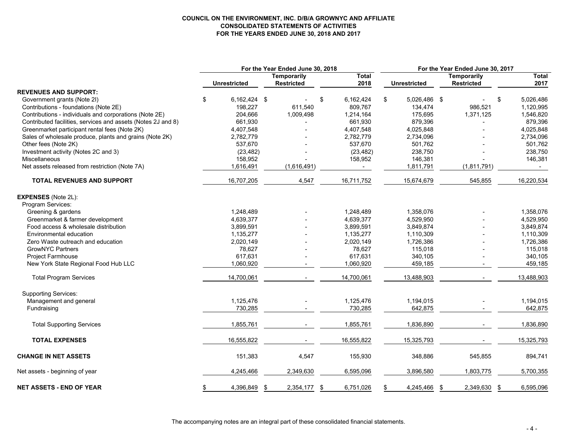#### **COUNCIL ON THE ENVIRONMENT, INC. D/B/A GROWNYC AND AFFILIATE CONSOLIDATED STATEMENTS OF ACTIVITIES FOR THE YEARS ENDED JUNE 30, 2018 AND 2017**

|                                                              |                     | For the Year Ended June 30, 2018 |                 | For the Year Ended June 30, 2017 |              |  |                   |    |              |  |
|--------------------------------------------------------------|---------------------|----------------------------------|-----------------|----------------------------------|--------------|--|-------------------|----|--------------|--|
|                                                              |                     | <b>Temporarily</b>               | <b>Total</b>    |                                  |              |  | Temporarily       |    | <b>Total</b> |  |
|                                                              | <b>Unrestricted</b> | <b>Restricted</b>                | 2018            |                                  | Unrestricted |  | <b>Restricted</b> |    | 2017         |  |
| <b>REVENUES AND SUPPORT:</b>                                 |                     |                                  |                 |                                  |              |  |                   |    |              |  |
| Government grants (Note 2I)                                  | \$<br>6,162,424 \$  |                                  | \$<br>6,162,424 | \$                               | 5,026,486 \$ |  |                   | \$ | 5,026,486    |  |
| Contributions - foundations (Note 2E)                        | 198,227             | 611,540                          | 809,767         |                                  | 134,474      |  | 986,521           |    | 1,120,995    |  |
| Contributions - individuals and corporations (Note 2E)       | 204,666             | 1,009,498                        | 1,214,164       |                                  | 175,695      |  | 1,371,125         |    | 1,546,820    |  |
| Contributed facilities, services and assets (Notes 2J and 8) | 661,930             |                                  | 661,930         |                                  | 879,396      |  |                   |    | 879,396      |  |
| Greenmarket participant rental fees (Note 2K)                | 4,407,548           |                                  | 4,407,548       |                                  | 4,025,848    |  |                   |    | 4,025,848    |  |
| Sales of wholesale produce, plants and grains (Note 2K)      | 2,782,779           |                                  | 2,782,779       |                                  | 2,734,096    |  |                   |    | 2,734,096    |  |
| Other fees (Note 2K)                                         | 537,670             |                                  | 537,670         |                                  | 501,762      |  |                   |    | 501,762      |  |
| Investment activity (Notes 2C and 3)                         | (23, 482)           |                                  | (23, 482)       |                                  | 238,750      |  |                   |    | 238,750      |  |
| <b>Miscellaneous</b>                                         | 158,952             |                                  | 158,952         |                                  | 146,381      |  |                   |    | 146,381      |  |
| Net assets released from restriction (Note 7A)               | 1,616,491           | (1,616,491)                      | $\sim$          |                                  | 1,811,791    |  | (1,811,791)       |    |              |  |
| <b>TOTAL REVENUES AND SUPPORT</b>                            | 16,707,205          | 4,547                            | 16,711,752      |                                  | 15,674,679   |  | 545,855           |    | 16,220,534   |  |
| <b>EXPENSES</b> (Note 2L):                                   |                     |                                  |                 |                                  |              |  |                   |    |              |  |
| Program Services:                                            |                     |                                  |                 |                                  |              |  |                   |    |              |  |
| Greening & gardens                                           | 1,248,489           |                                  | 1,248,489       |                                  | 1,358,076    |  |                   |    | 1,358,076    |  |
| Greenmarket & farmer development                             | 4,639,377           |                                  | 4,639,377       |                                  | 4,529,950    |  |                   |    | 4,529,950    |  |
| Food access & wholesale distribution                         | 3,899,591           |                                  | 3,899,591       |                                  | 3,849,874    |  |                   |    | 3,849,874    |  |
| Environmental education                                      | 1,135,277           |                                  | 1,135,277       |                                  | 1,110,309    |  |                   |    | 1,110,309    |  |
| Zero Waste outreach and education                            | 2,020,149           |                                  | 2,020,149       |                                  | 1,726,386    |  |                   |    | 1,726,386    |  |
| <b>GrowNYC Partners</b>                                      | 78,627              |                                  | 78,627          |                                  | 115,018      |  |                   |    | 115,018      |  |
| <b>Project Farmhouse</b>                                     | 617,631             |                                  | 617,631         |                                  | 340,105      |  |                   |    | 340,105      |  |
| New York State Regional Food Hub LLC                         | 1,060,920           |                                  | 1,060,920       |                                  | 459,185      |  |                   |    | 459,185      |  |
| <b>Total Program Services</b>                                | 14,700,061          |                                  | 14,700,061      |                                  | 13,488,903   |  |                   |    | 13,488,903   |  |
| <b>Supporting Services:</b>                                  |                     |                                  |                 |                                  |              |  |                   |    |              |  |
| Management and general                                       | 1,125,476           |                                  | 1,125,476       |                                  | 1,194,015    |  |                   |    | 1,194,015    |  |
| Fundraising                                                  | 730,285             |                                  | 730,285         |                                  | 642,875      |  |                   |    | 642,875      |  |
| <b>Total Supporting Services</b>                             | 1,855,761           |                                  | 1,855,761       |                                  | 1,836,890    |  |                   |    | 1,836,890    |  |
| <b>TOTAL EXPENSES</b>                                        | 16,555,822          |                                  | 16,555,822      |                                  | 15,325,793   |  |                   |    | 15,325,793   |  |
| <b>CHANGE IN NET ASSETS</b>                                  | 151,383             | 4,547                            | 155,930         |                                  | 348,886      |  | 545,855           |    | 894,741      |  |
| Net assets - beginning of year                               | 4,245,466           | 2,349,630                        | 6,595,096       |                                  | 3,896,580    |  | 1,803,775         |    | 5,700,355    |  |
| <b>NET ASSETS - END OF YEAR</b>                              | \$<br>4,396,849     | \$<br>2,354,177                  | \$<br>6,751,026 | \$                               | 4,245,466 \$ |  | 2,349,630         | \$ | 6,595,096    |  |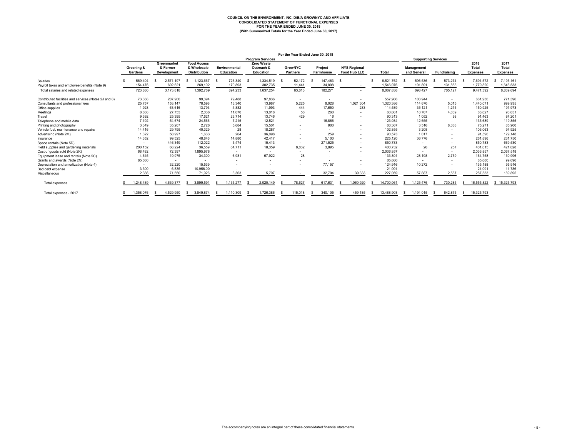## **COUNCIL ON THE ENVIRONMENT, INC. D/B/A GROWNYC AND AFFILIATE CONSOLIDATED STATEMENT OF FUNCTIONAL EXPENSES FOR THE YEAR ENDED JUNE 30, 2018 (With Summarized Totals for the Year Ended June 30, 2017)**

|                                                      |                       |                                               |     |                                                          |     |                                   |                                              | For the Year Ended June 30, 2018  |                             |      |                                            |            |     |                                  |                          |                                         |                                  |
|------------------------------------------------------|-----------------------|-----------------------------------------------|-----|----------------------------------------------------------|-----|-----------------------------------|----------------------------------------------|-----------------------------------|-----------------------------|------|--------------------------------------------|------------|-----|----------------------------------|--------------------------|-----------------------------------------|----------------------------------|
|                                                      |                       |                                               |     |                                                          |     |                                   | <b>Program Services</b>                      |                                   |                             |      |                                            |            |     | <b>Supporting Services</b>       |                          |                                         |                                  |
|                                                      | Greening &<br>Gardens | Greenmarket<br>& Farmer<br><b>Development</b> |     | <b>Food Access</b><br>& Wholesale<br><b>Distribution</b> |     | Environmental<br><b>Education</b> | <b>Zero Waste</b><br>Outreach &<br>Education | <b>GrowNYC</b><br><b>Partners</b> | Project<br><b>Farmhouse</b> |      | <b>NYS Regional</b><br><b>Food Hub LLC</b> | Total      |     | <b>Management</b><br>and General | Fundraising              | 2018<br><b>Total</b><br><b>Expenses</b> | 2017<br>Total<br><b>Expenses</b> |
| Salaries                                             | 569.404               | 2.571.197                                     |     | .123.667                                                 | -S  | 723.340                           | 1.334.519                                    | 52.172                            | 147.463                     | - \$ |                                            | 6.521.762  |     | 596.536                          | 573.274                  | 7.691.572                               | 7,193,161                        |
| Payroll taxes and employee benefits (Note 9)         | 154,476               | 602,621                                       |     | 269,102                                                  |     | 170,893                           | 302,735                                      | 11,441                            | 34,808                      |      | $\overline{\phantom{a}}$                   | 1,546,076  |     | 101,891                          | 131,853                  | 1,779,820                               | 1,646,533                        |
| Total salaries and related expenses                  | 723,880               | 3,173,818                                     |     | 1.392.769                                                |     | 894.233                           | 1.637.254                                    | 63.613                            | 182,271                     |      | $\overline{\phantom{a}}$                   | 8,067,838  |     | 698.427                          | 705,127                  | 9.471.392                               | 8,839,694                        |
| Contributed facilities and services (Notes 2J and 8) | 73,368                | 207,900                                       |     | 99,394                                                   |     | 79,488                            | 97,836                                       | $\overline{\phantom{a}}$          | $\overline{\phantom{a}}$    |      |                                            | 557,986    |     | 103,944                          | $\overline{\phantom{a}}$ | 661,930                                 | 771,396                          |
| Consultants and professional fees                    | 25,757                | 153,147                                       |     | 78,598                                                   |     | 13,340                            | 13,987                                       | 5,225                             | 9,028                       |      | 1,021,304                                  | 1,320,386  |     | 114,670                          | 5,015                    | 1,440,071                               | 999,935                          |
| Office supplies                                      | 1.928                 | 63.616                                        |     | 13,793                                                   |     | 4.882                             | 11.993                                       | 444                               | 17,650                      |      | 283                                        | 114.589    |     | 35.121                           | 1.215                    | 150.925                                 | 191,973                          |
| Meetings                                             | 8,888                 | 27,753                                        |     | 2,036                                                    |     | 11.070                            | 13,018                                       | 56                                | 260                         |      |                                            | 63,081     |     | 18,707                           | 4,839                    | 86,627                                  | 90,651                           |
| Travel                                               | 9.392                 | 25.395                                        |     | 17.621                                                   |     | 23.714                            | 13.746                                       | 429                               | 16                          |      | $\overline{\phantom{a}}$                   | 90.313     |     | 1.052                            | 98                       | 91.463                                  | 84,201                           |
| Telephone and mobile data                            | 7,192                 | 54.674                                        |     | 24,566                                                   |     | 7.215                             | 12,521                                       |                                   | 16,866                      |      | $\overline{\phantom{a}}$                   | 123,034    |     | 12,655                           | $\overline{\phantom{a}}$ | 135,689                                 | 119,855                          |
| Printing and photography                             | 3.349                 | 35.207                                        |     | 2.726                                                    |     | 5.684                             | 15,501                                       |                                   | 900                         |      | $\overline{\phantom{a}}$                   | 63.367     |     | 3.516                            | 8.388                    | 75.271                                  | 85,900                           |
| Vehicle fuel, maintenance and repairs                | 14,416                | 29,795                                        |     | 40,329                                                   |     | 28                                | 18,287                                       |                                   |                             |      |                                            | 102,855    |     | 3,208                            |                          | 106,063                                 | 94,925                           |
| Advertising (Note 2M)                                | 1.322                 | 50,997                                        |     | 1,633                                                    |     | 264                               | 36,098                                       |                                   | 259                         |      | $\overline{\phantom{a}}$                   | 90,573     |     | 1,017                            | ٠                        | 91,590                                  | 129,148                          |
| Insurance                                            | 14,352                | 99,525                                        |     | 48,846                                                   |     | 14,880                            | 42.417                                       | $\overline{\phantom{a}}$          | 5.100                       |      | $\overline{\phantom{a}}$                   | 225,120    |     | 36,776                           |                          | 261,896                                 | 231,750                          |
| Space rentals (Note 5D)                              |                       | 446,349                                       |     | 112,022                                                  |     | 5.474                             | 15,413                                       | $\sim$                            | 271,525                     |      | $\overline{\phantom{a}}$                   | 850,783    |     | ٠                                |                          | 850,783                                 | 669,530                          |
| Field supplies and gardening materials               | 200,152               | 68,224                                        |     | 36,559                                                   |     | 64.711                            | 18,359                                       | 8,832                             | 3,895                       |      | $\overline{\phantom{a}}$                   | 400,732    |     | 26                               | 257                      | 401,015                                 | 421,028                          |
| Cost of goods sold (Note 2K)                         | 68.482                | 72.397                                        |     | 1.895.978                                                |     | $\overline{\phantom{a}}$          |                                              | $\sim$                            |                             |      | $\overline{\phantom{a}}$                   | 2,036,857  |     | $\sim$                           | $\overline{\phantom{a}}$ | 2,036,857                               | 2,067,518                        |
| Equipment lease and rentals (Note 5C)                | 4.645                 | 19,975                                        |     | 34,300                                                   |     | 6,931                             | 67,922                                       | 28                                |                             |      | $\overline{\phantom{a}}$                   | 133,801    |     | 28,198                           | 2,759                    | 164.758                                 | 130,996                          |
| Grants and awards (Note 2N)                          | 85,680                |                                               |     |                                                          |     | $\sim$                            |                                              |                                   |                             |      |                                            | 85,680     |     | $\overline{\phantom{a}}$         |                          | 85,680                                  | 99.696                           |
| Depreciation and amortization (Note 4)               |                       | 32,220                                        |     | 15.539                                                   |     |                                   |                                              |                                   | 77,157                      |      |                                            | 124,916    |     | 10,272                           |                          | 135,188                                 | 95,916                           |
| Bad debt expense                                     | 3,300                 | 6.835                                         |     | 10.956.00                                                |     |                                   |                                              |                                   |                             |      |                                            | 21,091     |     | $\overline{\phantom{a}}$         |                          | 21.091                                  | 11.786                           |
| Miscellaneous                                        | 2.386                 | 71,550                                        |     | 71.926                                                   |     | 3.363                             | 5.797                                        |                                   | 32.704                      |      | 39,333                                     | 227.059    |     | 57,887                           | 2.587                    | 287,533                                 | 189,895                          |
| Total expenses                                       | 1,248,489             | 4,639,377                                     | - S | 3,899,591                                                | - S | ,135,277                          | 2,020,149                                    | 78,627                            | 617,631                     |      | 1,060,920                                  | 14.700.061 | s   | ,125,476                         | 730,285                  | 16,555,822                              | \$15,325,793                     |
| Total expenses - 2017                                | 1,358,076             | 4,529,950                                     |     | 3.849.874                                                |     | 1,110,309                         | 1,726,386                                    | 115,018                           | 340,105                     |      | 459.185                                    | 13.488.903 | \$. | 1,194,015                        | 642.875                  | 15,325,793                              |                                  |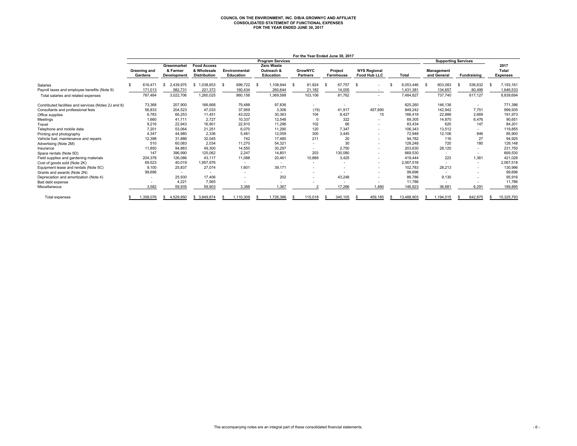# **COUNCIL ON THE ENVIRONMENT, INC. D/B/A GROWNYC AND AFFILIATE CONSOLIDATED STATEMENT OF FUNCTIONAL EXPENSES FOR THE YEAR ENDED JUNE 30, 2017**

|                                                      |                          |                                        |                                                          |                                   |                                              |                                   | For the Year Ended June 30, 2017 |                                            |            |                           |                            |                                  |
|------------------------------------------------------|--------------------------|----------------------------------------|----------------------------------------------------------|-----------------------------------|----------------------------------------------|-----------------------------------|----------------------------------|--------------------------------------------|------------|---------------------------|----------------------------|----------------------------------|
|                                                      |                          |                                        |                                                          |                                   | <b>Program Services</b>                      |                                   |                                  |                                            |            |                           | <b>Supporting Services</b> |                                  |
|                                                      | Greening and<br>Gardens  | Greenmarket<br>& Farmer<br>Development | <b>Food Access</b><br>& Wholesale<br><b>Distribution</b> | Environmental<br><b>Education</b> | Zero Waste<br>Outreach &<br><b>Education</b> | <b>GrowNYC</b><br><b>Partners</b> | Project<br>Farmhouse             | <b>NYS Regional</b><br><b>Food Hub LLC</b> | Total      | Management<br>and General | <b>Fundraising</b>         | 2017<br>Total<br><b>Expenses</b> |
| Salaries                                             | 616.471                  | 2,439,975<br>- \$                      | 1,038,653                                                | 699,722<br>- \$                   | 1,108,944<br>-S                              | 81,924<br>- \$                    | 67,757<br>- \$                   | - \$<br>٠                                  | 6,053,446  | 603,083<br>-S             | 536,632<br>- 35            | 7,193,161                        |
| Payroll taxes and employee benefits (Note 9)         | 171,013                  | 582,731                                | 221,372                                                  | 160,434                           | 260,644                                      | 21,182                            | 14,005                           | $\overline{\phantom{a}}$                   | 1,431,381  | 134,657                   | 80,495                     | 1,646,533                        |
| Total salaries and related expenses                  | 787,484                  | 3,022,706                              | 1,260,025                                                | 860,156                           | 1,369,588                                    | 103,106                           | 81,762                           | $\overline{\phantom{a}}$                   | 7,484,827  | 737,740                   | 617,127                    | 8,839,694                        |
| Contributed facilities and services (Notes 2J and 8) | 73,368                   | 207,900                                | 166.668                                                  | 79,488                            | 97,836                                       | $\sim$                            | $\overline{\phantom{a}}$         | $\overline{\phantom{a}}$                   | 625,260    | 146,136                   | $\sim$                     | 771,396                          |
| Consultants and professional fees                    | 56.833                   | 204.523                                | 47.033                                                   | 37.959                            | 3.306                                        | (19)                              | 41.917                           | 457,690                                    | 849.242    | 142,942                   | 7.751                      | 999,935                          |
| Office supplies                                      | 6,783                    | 66,253                                 | 11.451                                                   | 43,022                            | 30,363                                       | 104                               | 8,427                            | 15                                         | 166.418    | 22,886                    | 2,669                      | 191,973                          |
| Meetings                                             | 1.660                    | 41.711                                 | 2.727                                                    | 10,337                            | 12.548                                       |                                   | 322                              |                                            | 69,305     | 14,870                    | 6,476                      | 90,651                           |
| Travel                                               | 9,216                    | 22,943                                 | 16,901                                                   | 22,910                            | 11,296                                       | 102                               | 66                               |                                            | 83,434     | 620                       | 147                        | 84,201                           |
| Telephone and mobile data                            | 7,201                    | 53,064                                 | 21,251                                                   | 6,070                             | 11,290                                       | 120                               | 7,347                            |                                            | 106,343    | 13,512                    | $\sim$                     | 119,855                          |
| Printing and photography                             | 4.347                    | 44,980                                 | 2,336                                                    | 5,481                             | 12.059                                       | 300                               | 3,445                            |                                            | 72,948     | 12,106                    | 846                        | 85,900                           |
| Vehicle fuel, maintenance and repairs                | 12,398                   | 31,886                                 | 32,045                                                   | 742                               | 17,480                                       | 211                               | 20                               |                                            | 94.782     | 116                       | 27                         | 94,925                           |
| Advertising (Note 2M)                                | 510                      | 60,083                                 | 2.034                                                    | 11,270                            | 54.321                                       |                                   | 30                               |                                            | 128.248    | 720                       | 180                        | 129,148                          |
| Insurance                                            | 11,850                   | 94,883                                 | 49,300                                                   | 14,550                            | 30,297                                       |                                   | 2,750                            | $\overline{\phantom{a}}$                   | 203,630    | 28,120                    | ٠                          | 231,750                          |
| Space rentals (Note 5D)                              | 147                      | 396.990                                | 125.062                                                  | 2.247                             | 14.801                                       | 203                               | 130,080                          | $\overline{\phantom{0}}$                   | 669.530    |                           | $\sim$                     | 669,530                          |
| Field supplies and gardening materials               | 204,378                  | 126,086                                | 43.117                                                   | 11,088                            | 20,461                                       | 10,889                            | 3,425                            |                                            | 419.444    | 223                       | 1,361                      | 421,028                          |
| Cost of goods sold (Note 2K)                         | 69.523                   | 40,019                                 | 1.957.976                                                | $\overline{\phantom{a}}$          |                                              |                                   |                                  |                                            | 2.067.518  |                           | $\sim$                     | 2,067,518                        |
| Equipment lease and rentals (Note 5C)                | 9.100                    | 25,837                                 | 27.074                                                   | 1,601                             | 39,171                                       |                                   |                                  |                                            | 102,783    | 28,213                    | $\sim$                     | 130,996                          |
| Grants and awards (Note 2N)                          | 99,696                   | $\overline{\phantom{a}}$               |                                                          | $\sim$                            |                                              |                                   |                                  |                                            | 99,696     | $\overline{\phantom{a}}$  | $\sim$                     | 99,696                           |
| Depreciation and amortization (Note 4)               | $\overline{\phantom{a}}$ | 25,930                                 | 17.406                                                   | ٠                                 | 202                                          |                                   | 43,248                           |                                            | 86,786     | 9,130                     |                            | 95,916                           |
| Bad debt expense                                     |                          | 4,221                                  | 7,565                                                    |                                   |                                              |                                   |                                  |                                            | 11,786     |                           |                            | 11,786                           |
| Miscellaneous                                        | 3,582                    | 59,935                                 | 59,903                                                   | 3,388                             | 1,367                                        |                                   | 17,266                           | 1,480                                      | 146,923    | 36,681                    | 6,291                      | 189,895                          |
| Total expenses                                       | 1,358,076                | 4,529,950<br>S                         | 3,849,874                                                | 1,110,309                         | 1,726,386                                    | 115,018                           | 340,105                          | 459,185<br>S                               | 13,488,903 | 1,194,015                 | 642,875                    | 15,325,793                       |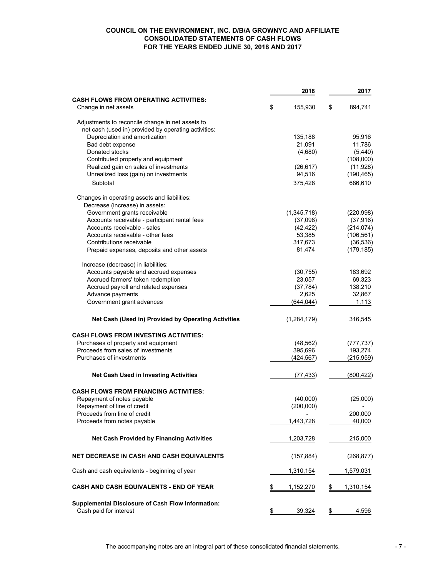#### **COUNCIL ON THE ENVIRONMENT, INC. D/B/A GROWNYC AND AFFILIATE CONSOLIDATED STATEMENTS OF CASH FLOWS FOR THE YEARS ENDED JUNE 30, 2018 AND 2017**

|                                                                                    | 2018            | 2017            |
|------------------------------------------------------------------------------------|-----------------|-----------------|
| <b>CASH FLOWS FROM OPERATING ACTIVITIES:</b>                                       |                 |                 |
| Change in net assets                                                               | \$<br>155,930   | \$<br>894,741   |
| Adjustments to reconcile change in net assets to                                   |                 |                 |
| net cash (used in) provided by operating activities:                               |                 |                 |
| Depreciation and amortization                                                      | 135,188         | 95,916          |
| Bad debt expense                                                                   | 21,091          | 11,786          |
| Donated stocks                                                                     | (4,680)         | (5, 440)        |
| Contributed property and equipment                                                 |                 | (108,000)       |
| Realized gain on sales of investments                                              | (26, 617)       | (11, 928)       |
| Unrealized loss (gain) on investments                                              | 94,516          | (190, 465)      |
| Subtotal                                                                           | 375,428         | 686,610         |
| Changes in operating assets and liabilities:                                       |                 |                 |
| Decrease (increase) in assets:                                                     |                 |                 |
| Government grants receivable                                                       | (1,345,718)     | (220, 998)      |
| Accounts receivable - participant rental fees                                      | (37,098)        | (37, 916)       |
| Accounts receivable - sales                                                        | (42, 422)       | (214, 074)      |
| Accounts receivable - other fees                                                   | 53,385          | (106, 561)      |
| Contributions receivable                                                           | 317,673         | (36, 536)       |
|                                                                                    | 81,474          | (179, 185)      |
| Prepaid expenses, deposits and other assets                                        |                 |                 |
| Increase (decrease) in liabilities:                                                |                 |                 |
| Accounts payable and accrued expenses                                              | (30, 755)       | 183,692         |
| Accrued farmers' token redemption                                                  | 23,057          | 69,323          |
| Accrued payroll and related expenses                                               | (37, 784)       | 138,210         |
| Advance payments                                                                   | 2,625           | 32,867          |
| Government grant advances                                                          | (644, 044)      | 1,113           |
| Net Cash (Used in) Provided by Operating Activities                                | (1,284,179)     | 316,545         |
| <b>CASH FLOWS FROM INVESTING ACTIVITIES:</b>                                       |                 |                 |
| Purchases of property and equipment                                                | (48, 562)       | (777, 737)      |
| Proceeds from sales of investments                                                 | 395,696         | 193,274         |
| Purchases of investments                                                           | (424, 567)      | (215, 959)      |
| <b>Net Cash Used in Investing Activities</b>                                       | (77, 433)       | (800, 422)      |
| <b>CASH FLOWS FROM FINANCING ACTIVITIES:</b>                                       |                 |                 |
| Repayment of notes payable                                                         | (40,000)        | (25,000)        |
|                                                                                    |                 |                 |
| Repayment of line of credit<br>Proceeds from line of credit                        | (200,000)       | 200,000         |
| Proceeds from notes payable                                                        | 1,443,728       | 40,000          |
|                                                                                    |                 |                 |
| <b>Net Cash Provided by Financing Activities</b>                                   | 1,203,728       | 215,000         |
| NET DECREASE IN CASH AND CASH EQUIVALENTS                                          | (157, 884)      | (268, 877)      |
| Cash and cash equivalents - beginning of year                                      | 1,310,154       | 1,579,031       |
| CASH AND CASH EQUIVALENTS - END OF YEAR                                            | \$<br>1,152,270 | \$<br>1,310,154 |
| <b>Supplemental Disclosure of Cash Flow Information:</b><br>Cash paid for interest | \$<br>39,324    | \$<br>4,596     |
|                                                                                    |                 |                 |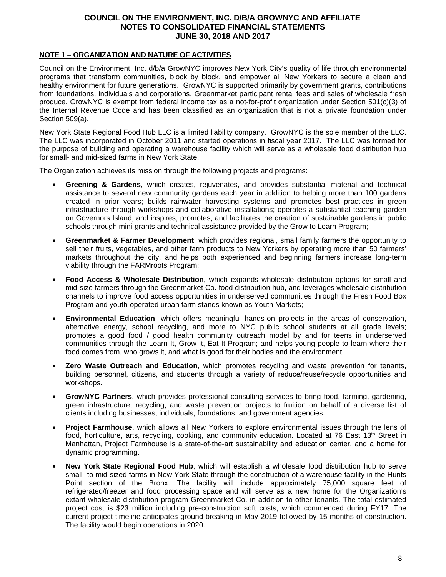## **NOTE 1 – ORGANIZATION AND NATURE OF ACTIVITIES**

Council on the Environment, Inc. d/b/a GrowNYC improves New York City's quality of life through environmental programs that transform communities, block by block, and empower all New Yorkers to secure a clean and healthy environment for future generations. GrowNYC is supported primarily by government grants, contributions from foundations, individuals and corporations, Greenmarket participant rental fees and sales of wholesale fresh produce. GrowNYC is exempt from federal income tax as a not-for-profit organization under Section 501(c)(3) of the Internal Revenue Code and has been classified as an organization that is not a private foundation under Section 509(a).

New York State Regional Food Hub LLC is a limited liability company. GrowNYC is the sole member of the LLC. The LLC was incorporated in October 2011 and started operations in fiscal year 2017. The LLC was formed for the purpose of building and operating a warehouse facility which will serve as a wholesale food distribution hub for small- and mid-sized farms in New York State.

The Organization achieves its mission through the following projects and programs:

- **Greening & Gardens**, which creates, rejuvenates, and provides substantial material and technical assistance to several new community gardens each year in addition to helping more than 100 gardens created in prior years; builds rainwater harvesting systems and promotes best practices in green infrastructure through workshops and collaborative installations; operates a substantial teaching garden on Governors Island; and inspires, promotes, and facilitates the creation of sustainable gardens in public schools through mini-grants and technical assistance provided by the Grow to Learn Program;
- **Greenmarket & Farmer Development**, which provides regional, small family farmers the opportunity to sell their fruits, vegetables, and other farm products to New Yorkers by operating more than 50 farmers' markets throughout the city, and helps both experienced and beginning farmers increase long-term viability through the FARMroots Program;
- **Food Access & Wholesale Distribution**, which expands wholesale distribution options for small and mid-size farmers through the Greenmarket Co. food distribution hub, and leverages wholesale distribution channels to improve food access opportunities in underserved communities through the Fresh Food Box Program and youth-operated urban farm stands known as Youth Markets;
- **Environmental Education**, which offers meaningful hands-on projects in the areas of conservation, alternative energy, school recycling, and more to NYC public school students at all grade levels; promotes a good food / good health community outreach model by and for teens in underserved communities through the Learn It, Grow It, Eat It Program; and helps young people to learn where their food comes from, who grows it, and what is good for their bodies and the environment;
- **Zero Waste Outreach and Education**, which promotes recycling and waste prevention for tenants, building personnel, citizens, and students through a variety of reduce/reuse/recycle opportunities and workshops.
- **GrowNYC Partners**, which provides professional consulting services to bring food, farming, gardening, green infrastructure, recycling, and waste prevention projects to fruition on behalf of a diverse list of clients including businesses, individuals, foundations, and government agencies.
- **Project Farmhouse**, which allows all New Yorkers to explore environmental issues through the lens of food, horticulture, arts, recycling, cooking, and community education. Located at 76 East 13<sup>th</sup> Street in Manhattan, Project Farmhouse is a state-of-the-art sustainability and education center, and a home for dynamic programming.
- **New York State Regional Food Hub**, which will establish a wholesale food distribution hub to serve small- to mid-sized farms in New York State through the construction of a warehouse facility in the Hunts Point section of the Bronx. The facility will include approximately 75,000 square feet of refrigerated/freezer and food processing space and will serve as a new home for the Organization's extant wholesale distribution program Greenmarket Co. in addition to other tenants. The total estimated project cost is \$23 million including pre-construction soft costs, which commenced during FY17. The current project timeline anticipates ground-breaking in May 2019 followed by 15 months of construction. The facility would begin operations in 2020.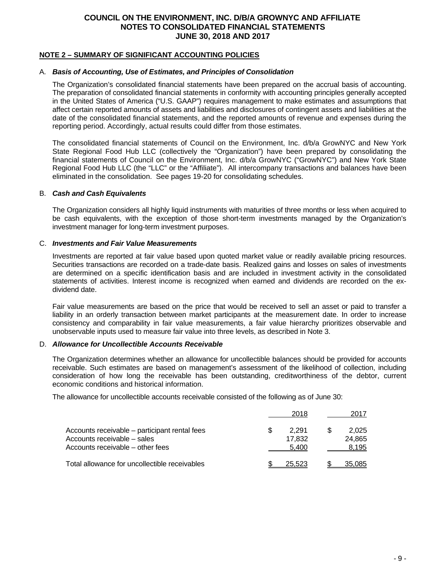### **NOTE 2 – SUMMARY OF SIGNIFICANT ACCOUNTING POLICIES**

## A. *Basis of Accounting, Use of Estimates, and Principles of Consolidation*

The Organization's consolidated financial statements have been prepared on the accrual basis of accounting. The preparation of consolidated financial statements in conformity with accounting principles generally accepted in the United States of America ("U.S. GAAP") requires management to make estimates and assumptions that affect certain reported amounts of assets and liabilities and disclosures of contingent assets and liabilities at the date of the consolidated financial statements, and the reported amounts of revenue and expenses during the reporting period. Accordingly, actual results could differ from those estimates.

The consolidated financial statements of Council on the Environment, Inc. d/b/a GrowNYC and New York State Regional Food Hub LLC (collectively the "Organization") have been prepared by consolidating the financial statements of Council on the Environment, Inc. d/b/a GrowNYC ("GrowNYC") and New York State Regional Food Hub LLC (the "LLC" or the "Affiliate"). All intercompany transactions and balances have been eliminated in the consolidation. See pages 19-20 for consolidating schedules.

#### B. *Cash and Cash Equivalents*

The Organization considers all highly liquid instruments with maturities of three months or less when acquired to be cash equivalents, with the exception of those short-term investments managed by the Organization's investment manager for long-term investment purposes.

#### C. *Investments and Fair Value Measurements*

Investments are reported at fair value based upon quoted market value or readily available pricing resources. Securities transactions are recorded on a trade-date basis. Realized gains and losses on sales of investments are determined on a specific identification basis and are included in investment activity in the consolidated statements of activities. Interest income is recognized when earned and dividends are recorded on the exdividend date.

Fair value measurements are based on the price that would be received to sell an asset or paid to transfer a liability in an orderly transaction between market participants at the measurement date. In order to increase consistency and comparability in fair value measurements, a fair value hierarchy prioritizes observable and unobservable inputs used to measure fair value into three levels, as described in Note 3.

#### D. *Allowance for Uncollectible Accounts Receivable*

The Organization determines whether an allowance for uncollectible balances should be provided for accounts receivable. Such estimates are based on management's assessment of the likelihood of collection, including consideration of how long the receivable has been outstanding, creditworthiness of the debtor, current economic conditions and historical information.

The allowance for uncollectible accounts receivable consisted of the following as of June 30:

|                                                                                                                  | 2018                           | 2017                     |
|------------------------------------------------------------------------------------------------------------------|--------------------------------|--------------------------|
| Accounts receivable – participant rental fees<br>Accounts receivable - sales<br>Accounts receivable – other fees | \$<br>2.291<br>17.832<br>5.400 | 2.025<br>24.865<br>8.195 |
| Total allowance for uncollectible receivables                                                                    | 25.523                         | 35.085                   |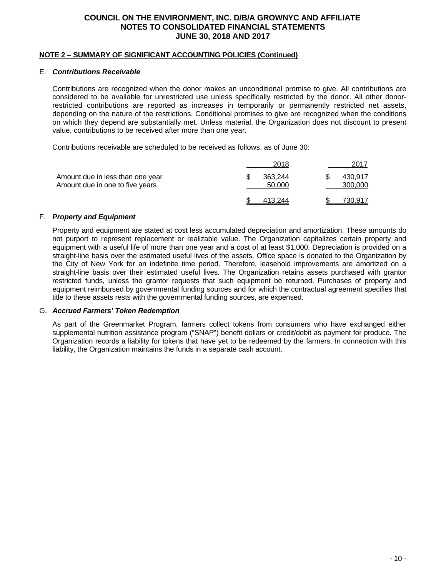#### **NOTE 2 – SUMMARY OF SIGNIFICANT ACCOUNTING POLICIES (Continued)**

#### E. *Contributions Receivable*

Contributions are recognized when the donor makes an unconditional promise to give. All contributions are considered to be available for unrestricted use unless specifically restricted by the donor. All other donorrestricted contributions are reported as increases in temporarily or permanently restricted net assets, depending on the nature of the restrictions. Conditional promises to give are recognized when the conditions on which they depend are substantially met. Unless material, the Organization does not discount to present value, contributions to be received after more than one year.

Contributions receivable are scheduled to be received as follows, as of June 30:

|                                                                     | 2018              | 2017               |
|---------------------------------------------------------------------|-------------------|--------------------|
| Amount due in less than one year<br>Amount due in one to five years | 363.244<br>50,000 | 430.917<br>300,000 |
|                                                                     | 413.244           | 730.917            |

### F. *Property and Equipment*

Property and equipment are stated at cost less accumulated depreciation and amortization. These amounts do not purport to represent replacement or realizable value. The Organization capitalizes certain property and equipment with a useful life of more than one year and a cost of at least \$1,000. Depreciation is provided on a straight-line basis over the estimated useful lives of the assets. Office space is donated to the Organization by the City of New York for an indefinite time period. Therefore, leasehold improvements are amortized on a straight-line basis over their estimated useful lives. The Organization retains assets purchased with grantor restricted funds, unless the grantor requests that such equipment be returned. Purchases of property and equipment reimbursed by governmental funding sources and for which the contractual agreement specifies that title to these assets rests with the governmental funding sources, are expensed.

#### G. *Accrued Farmers' Token Redemption*

As part of the Greenmarket Program, farmers collect tokens from consumers who have exchanged either supplemental nutrition assistance program ("SNAP") benefit dollars or credit/debit as payment for produce. The Organization records a liability for tokens that have yet to be redeemed by the farmers. In connection with this liability, the Organization maintains the funds in a separate cash account.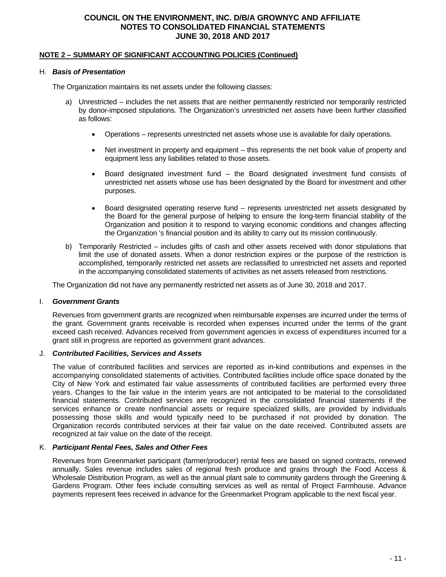#### **NOTE 2 – SUMMARY OF SIGNIFICANT ACCOUNTING POLICIES (Continued)**

#### H. *Basis of Presentation*

The Organization maintains its net assets under the following classes:

- a) Unrestricted includes the net assets that are neither permanently restricted nor temporarily restricted by donor-imposed stipulations. The Organization's unrestricted net assets have been further classified as follows:
	- Operations represents unrestricted net assets whose use is available for daily operations.
	- Net investment in property and equipment this represents the net book value of property and equipment less any liabilities related to those assets.
	- Board designated investment fund the Board designated investment fund consists of unrestricted net assets whose use has been designated by the Board for investment and other purposes.
	- Board designated operating reserve fund represents unrestricted net assets designated by the Board for the general purpose of helping to ensure the long-term financial stability of the Organization and position it to respond to varying economic conditions and changes affecting the Organization 's financial position and its ability to carry out its mission continuously.
- b) Temporarily Restricted includes gifts of cash and other assets received with donor stipulations that limit the use of donated assets. When a donor restriction expires or the purpose of the restriction is accomplished, temporarily restricted net assets are reclassified to unrestricted net assets and reported in the accompanying consolidated statements of activities as net assets released from restrictions.

The Organization did not have any permanently restricted net assets as of June 30, 2018 and 2017.

#### I. *Government Grants*

Revenues from government grants are recognized when reimbursable expenses are incurred under the terms of the grant. Government grants receivable is recorded when expenses incurred under the terms of the grant exceed cash received. Advances received from government agencies in excess of expenditures incurred for a grant still in progress are reported as government grant advances.

#### J. *Contributed Facilities, Services and Assets*

The value of contributed facilities and services are reported as in-kind contributions and expenses in the accompanying consolidated statements of activities. Contributed facilities include office space donated by the City of New York and estimated fair value assessments of contributed facilities are performed every three years. Changes to the fair value in the interim years are not anticipated to be material to the consolidated financial statements. Contributed services are recognized in the consolidated financial statements if the services enhance or create nonfinancial assets or require specialized skills, are provided by individuals possessing those skills and would typically need to be purchased if not provided by donation. The Organization records contributed services at their fair value on the date received. Contributed assets are recognized at fair value on the date of the receipt.

#### K. *Participant Rental Fees, Sales and Other Fees*

Revenues from Greenmarket participant (farmer/producer) rental fees are based on signed contracts, renewed annually. Sales revenue includes sales of regional fresh produce and grains through the Food Access & Wholesale Distribution Program, as well as the annual plant sale to community gardens through the Greening & Gardens Program. Other fees include consulting services as well as rental of Project Farmhouse. Advance payments represent fees received in advance for the Greenmarket Program applicable to the next fiscal year.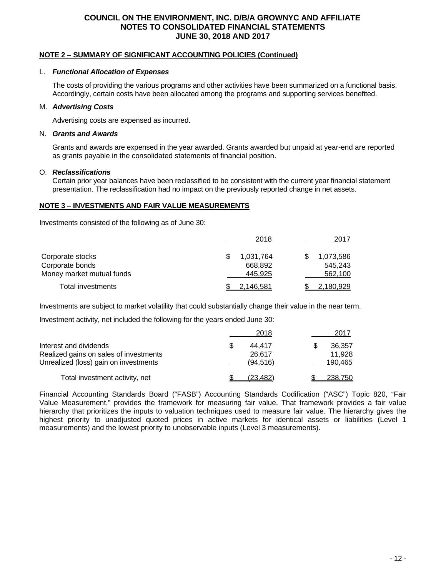#### **NOTE 2 – SUMMARY OF SIGNIFICANT ACCOUNTING POLICIES (Continued)**

#### L. *Functional Allocation of Expenses*

The costs of providing the various programs and other activities have been summarized on a functional basis. Accordingly, certain costs have been allocated among the programs and supporting services benefited.

### M. *Advertising Costs*

Advertising costs are expensed as incurred.

#### N. *Grants and Awards*

Grants and awards are expensed in the year awarded. Grants awarded but unpaid at year-end are reported as grants payable in the consolidated statements of financial position.

### O. *Reclassifications*

Certain prior year balances have been reclassified to be consistent with the current year financial statement presentation. The reclassification had no impact on the previously reported change in net assets.

## **NOTE 3 – INVESTMENTS AND FAIR VALUE MEASUREMENTS**

Investments consisted of the following as of June 30:

|                           | 2018      | 2017      |
|---------------------------|-----------|-----------|
| Corporate stocks          | 1,031,764 | 1.073.586 |
| Corporate bonds           | 668.892   | 545.243   |
| Money market mutual funds | 445.925   | 562,100   |
| Total investments         | 2.146.581 | 2,180,929 |

Investments are subject to market volatility that could substantially change their value in the near term.

Investment activity, net included the following for the years ended June 30:

|                                        | 2018     | 2017    |
|----------------------------------------|----------|---------|
| Interest and dividends                 | 44.417   | 36.357  |
| Realized gains on sales of investments | 26.617   | 11.928  |
| Unrealized (loss) gain on investments  | (94.516) | 190,465 |
| Total investment activity, net         | (23.482) | 238,750 |

Financial Accounting Standards Board ("FASB") Accounting Standards Codification ("ASC") Topic 820, "Fair Value Measurement," provides the framework for measuring fair value. That framework provides a fair value hierarchy that prioritizes the inputs to valuation techniques used to measure fair value. The hierarchy gives the highest priority to unadjusted quoted prices in active markets for identical assets or liabilities (Level 1 measurements) and the lowest priority to unobservable inputs (Level 3 measurements).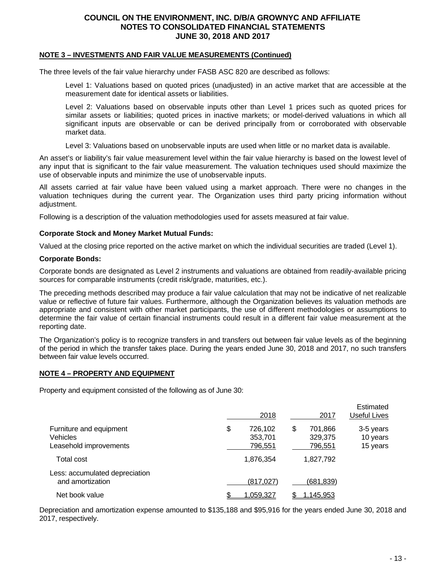#### **NOTE 3 – INVESTMENTS AND FAIR VALUE MEASUREMENTS (Continued)**

The three levels of the fair value hierarchy under FASB ASC 820 are described as follows:

Level 1: Valuations based on quoted prices (unadjusted) in an active market that are accessible at the measurement date for identical assets or liabilities.

Level 2: Valuations based on observable inputs other than Level 1 prices such as quoted prices for similar assets or liabilities; quoted prices in inactive markets; or model-derived valuations in which all significant inputs are observable or can be derived principally from or corroborated with observable market data.

Level 3: Valuations based on unobservable inputs are used when little or no market data is available.

An asset's or liability's fair value measurement level within the fair value hierarchy is based on the lowest level of any input that is significant to the fair value measurement. The valuation techniques used should maximize the use of observable inputs and minimize the use of unobservable inputs.

All assets carried at fair value have been valued using a market approach. There were no changes in the valuation techniques during the current year. The Organization uses third party pricing information without adjustment.

Following is a description of the valuation methodologies used for assets measured at fair value.

#### **Corporate Stock and Money Market Mutual Funds:**

Valued at the closing price reported on the active market on which the individual securities are traded (Level 1).

#### **Corporate Bonds:**

Corporate bonds are designated as Level 2 instruments and valuations are obtained from readily-available pricing sources for comparable instruments (credit risk/grade, maturities, etc.).

The preceding methods described may produce a fair value calculation that may not be indicative of net realizable value or reflective of future fair values. Furthermore, although the Organization believes its valuation methods are appropriate and consistent with other market participants, the use of different methodologies or assumptions to determine the fair value of certain financial instruments could result in a different fair value measurement at the reporting date.

The Organization's policy is to recognize transfers in and transfers out between fair value levels as of the beginning of the period in which the transfer takes place. During the years ended June 30, 2018 and 2017, no such transfers between fair value levels occurred.

#### **NOTE 4 – PROPERTY AND EQUIPMENT**

Property and equipment consisted of the following as of June 30:

|                                                               | 2018                                | 2017                                | Estimated<br>Useful Lives         |
|---------------------------------------------------------------|-------------------------------------|-------------------------------------|-----------------------------------|
| Furniture and equipment<br>Vehicles<br>Leasehold improvements | \$<br>726,102<br>353,701<br>796,551 | \$<br>701,866<br>329,375<br>796,551 | 3-5 years<br>10 years<br>15 years |
| Total cost                                                    | 1,876,354                           | 1,827,792                           |                                   |
| Less: accumulated depreciation<br>and amortization            | (817, 027)                          | (681,839)                           |                                   |
| Net book value                                                | 1,059,327                           | 1,145,953                           |                                   |

Depreciation and amortization expense amounted to \$135,188 and \$95,916 for the years ended June 30, 2018 and 2017, respectively.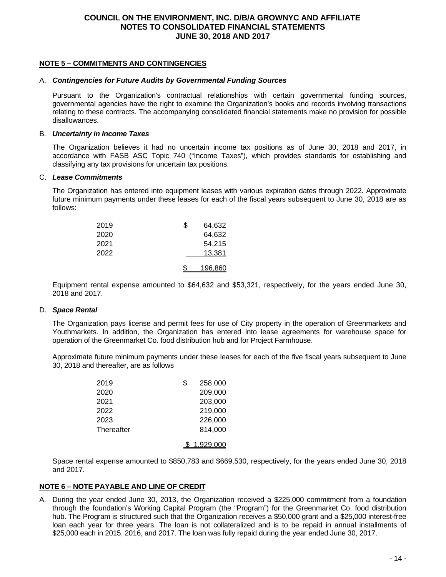## **NOTE 5 – COMMITMENTS AND CONTINGENCIES**

#### A. *Contingencies for Future Audits by Governmental Funding Sources*

Pursuant to the Organization's contractual relationships with certain governmental funding sources, governmental agencies have the right to examine the Organization's books and records involving transactions relating to these contracts. The accompanying consolidated financial statements make no provision for possible disallowances.

#### B. *Uncertainty in Income Taxes*

The Organization believes it had no uncertain income tax positions as of June 30, 2018 and 2017, in accordance with FASB ASC Topic 740 ("Income Taxes"), which provides standards for establishing and classifying any tax provisions for uncertain tax positions.

#### C. *Lease Commitments*

The Organization has entered into equipment leases with various expiration dates through 2022. Approximate future minimum payments under these leases for each of the fiscal years subsequent to June 30, 2018 are as follows:

| 2019 | \$<br>64,632 |
|------|--------------|
| 2020 | 64,632       |
| 2021 | 54,215       |
| 2022 | 13,381       |
|      | 196.860      |

Equipment rental expense amounted to \$64,632 and \$53,321, respectively, for the years ended June 30, 2018 and 2017.

#### D. *Space Rental*

The Organization pays license and permit fees for use of City property in the operation of Greenmarkets and Youthmarkets. In addition, the Organization has entered into lease agreements for warehouse space for operation of the Greenmarket Co. food distribution hub and for Project Farmhouse.

Approximate future minimum payments under these leases for each of the five fiscal years subsequent to June 30, 2018 and thereafter, are as follows

| 2019       | \$<br>258,000 |
|------------|---------------|
| 2020       | 209,000       |
| 2021       | 203,000       |
| 2022       | 219,000       |
| 2023       | 226,000       |
| Thereafter | 814,000       |
|            | 1.929.000     |

Space rental expense amounted to \$850,783 and \$669,530, respectively, for the years ended June 30, 2018 and 2017.

#### **NOTE 6 – NOTE PAYABLE AND LINE OF CREDIT**

A. During the year ended June 30, 2013, the Organization received a \$225,000 commitment from a foundation through the foundation's Working Capital Program (the "Program") for the Greenmarket Co. food distribution hub. The Program is structured such that the Organization receives a \$50,000 grant and a \$25,000 interest-free loan each year for three years. The loan is not collateralized and is to be repaid in annual installments of \$25,000 each in 2015, 2016, and 2017. The loan was fully repaid during the year ended June 30, 2017.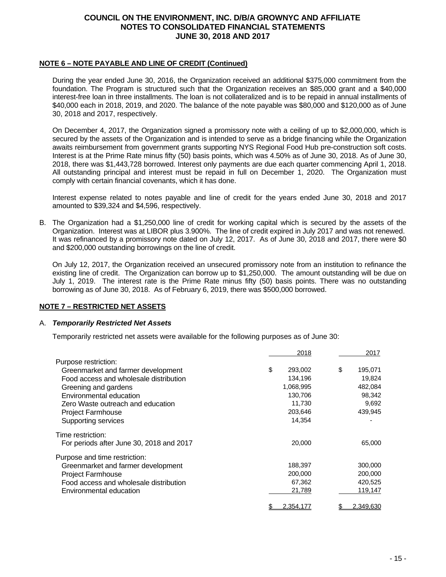## **NOTE 6 – NOTE PAYABLE AND LINE OF CREDIT (Continued)**

During the year ended June 30, 2016, the Organization received an additional \$375,000 commitment from the foundation. The Program is structured such that the Organization receives an \$85,000 grant and a \$40,000 interest-free loan in three installments. The loan is not collateralized and is to be repaid in annual installments of \$40,000 each in 2018, 2019, and 2020. The balance of the note payable was \$80,000 and \$120,000 as of June 30, 2018 and 2017, respectively.

On December 4, 2017, the Organization signed a promissory note with a ceiling of up to \$2,000,000, which is secured by the assets of the Organization and is intended to serve as a bridge financing while the Organization awaits reimbursement from government grants supporting NYS Regional Food Hub pre-construction soft costs. Interest is at the Prime Rate minus fifty (50) basis points, which was 4.50% as of June 30, 2018. As of June 30, 2018, there was \$1,443,728 borrowed. Interest only payments are due each quarter commencing April 1, 2018. All outstanding principal and interest must be repaid in full on December 1, 2020. The Organization must comply with certain financial covenants, which it has done.

Interest expense related to notes payable and line of credit for the years ended June 30, 2018 and 2017 amounted to \$39,324 and \$4,596, respectively.

B. The Organization had a \$1,250,000 line of credit for working capital which is secured by the assets of the Organization. Interest was at LIBOR plus 3.900%. The line of credit expired in July 2017 and was not renewed. It was refinanced by a promissory note dated on July 12, 2017. As of June 30, 2018 and 2017, there were \$0 and \$200,000 outstanding borrowings on the line of credit.

On July 12, 2017, the Organization received an unsecured promissory note from an institution to refinance the existing line of credit. The Organization can borrow up to \$1,250,000. The amount outstanding will be due on July 1, 2019. The interest rate is the Prime Rate minus fifty (50) basis points. There was no outstanding borrowing as of June 30, 2018. As of February 6, 2019, there was \$500,000 borrowed.

#### **NOTE 7 – RESTRICTED NET ASSETS**

#### A. *Temporarily Restricted Net Assets*

Temporarily restricted net assets were available for the following purposes as of June 30:

|                                          | 2018          | 2017          |
|------------------------------------------|---------------|---------------|
| Purpose restriction:                     |               |               |
| Greenmarket and farmer development       | \$<br>293,002 | \$<br>195,071 |
| Food access and wholesale distribution   | 134,196       | 19,824        |
| Greening and gardens                     | 1,068,995     | 482,084       |
| Environmental education                  | 130,706       | 98,342        |
| Zero Waste outreach and education        | 11,730        | 9,692         |
| <b>Project Farmhouse</b>                 | 203,646       | 439,945       |
| Supporting services                      | 14,354        |               |
| Time restriction:                        |               |               |
| For periods after June 30, 2018 and 2017 | 20,000        | 65,000        |
| Purpose and time restriction:            |               |               |
| Greenmarket and farmer development       | 188,397       | 300,000       |
| <b>Project Farmhouse</b>                 | 200,000       | 200,000       |
| Food access and wholesale distribution   | 67,362        | 420,525       |
| Environmental education                  | 21,789        | 119,147       |
|                                          | 2.354.177     | 2.349.630     |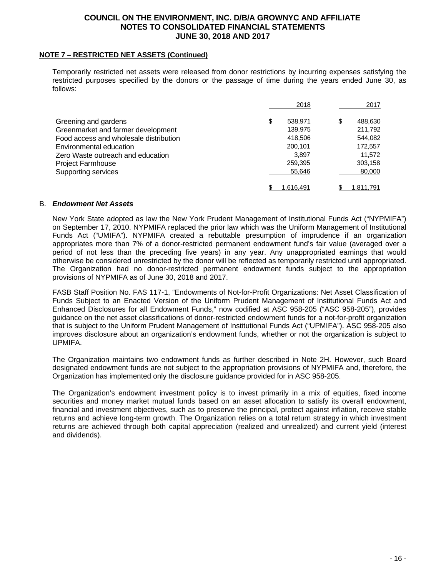#### **NOTE 7 – RESTRICTED NET ASSETS (Continued)**

Temporarily restricted net assets were released from donor restrictions by incurring expenses satisfying the restricted purposes specified by the donors or the passage of time during the years ended June 30, as follows:

|                                        | 2018          | 2017          |
|----------------------------------------|---------------|---------------|
| Greening and gardens                   | \$<br>538.971 | 488,630<br>\$ |
| Greenmarket and farmer development     | 139,975       | 211,792       |
| Food access and wholesale distribution | 418,506       | 544,082       |
| Environmental education                | 200,101       | 172,557       |
| Zero Waste outreach and education      | 3.897         | 11,572        |
| <b>Project Farmhouse</b>               | 259,395       | 303,158       |
| Supporting services                    | 55,646        | 80,000        |
|                                        | 1.616.491     | 1.811.791     |

### B. *Endowment Net Assets*

New York State adopted as law the New York Prudent Management of Institutional Funds Act ("NYPMIFA") on September 17, 2010. NYPMIFA replaced the prior law which was the Uniform Management of Institutional Funds Act ("UMIFA"). NYPMIFA created a rebuttable presumption of imprudence if an organization appropriates more than 7% of a donor-restricted permanent endowment fund's fair value (averaged over a period of not less than the preceding five years) in any year. Any unappropriated earnings that would otherwise be considered unrestricted by the donor will be reflected as temporarily restricted until appropriated. The Organization had no donor-restricted permanent endowment funds subject to the appropriation provisions of NYPMIFA as of June 30, 2018 and 2017.

FASB Staff Position No. FAS 117-1, "Endowments of Not-for-Profit Organizations: Net Asset Classification of Funds Subject to an Enacted Version of the Uniform Prudent Management of Institutional Funds Act and Enhanced Disclosures for all Endowment Funds," now codified at ASC 958-205 ("ASC 958-205"), provides guidance on the net asset classifications of donor-restricted endowment funds for a not-for-profit organization that is subject to the Uniform Prudent Management of Institutional Funds Act ("UPMIFA"). ASC 958-205 also improves disclosure about an organization's endowment funds, whether or not the organization is subject to UPMIFA.

The Organization maintains two endowment funds as further described in Note 2H. However, such Board designated endowment funds are not subject to the appropriation provisions of NYPMIFA and, therefore, the Organization has implemented only the disclosure guidance provided for in ASC 958-205.

The Organization's endowment investment policy is to invest primarily in a mix of equities, fixed income securities and money market mutual funds based on an asset allocation to satisfy its overall endowment, financial and investment objectives, such as to preserve the principal, protect against inflation, receive stable returns and achieve long-term growth. The Organization relies on a total return strategy in which investment returns are achieved through both capital appreciation (realized and unrealized) and current yield (interest and dividends).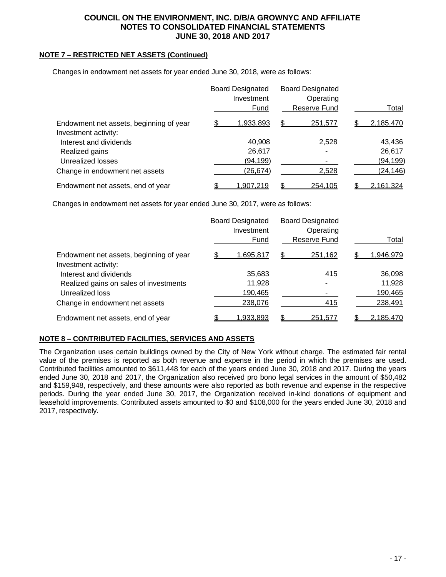## **NOTE 7 – RESTRICTED NET ASSETS (Continued)**

Changes in endowment net assets for year ended June 30, 2018, were as follows:

|                                         | <b>Board Designated</b><br>Investment | <b>Board Designated</b><br>Operating |                 |
|-----------------------------------------|---------------------------------------|--------------------------------------|-----------------|
|                                         | Fund                                  | Reserve Fund                         | Total           |
| Endowment net assets, beginning of year | \$<br>1,933,893                       | \$<br>251,577                        | \$<br>2,185,470 |
| Investment activity:                    |                                       |                                      |                 |
| Interest and dividends                  | 40,908                                | 2,528                                | 43,436          |
| Realized gains                          | 26,617                                |                                      | 26,617          |
| Unrealized losses                       | (94,199)                              |                                      | (94, 199)       |
| Change in endowment net assets          | (26, 674)                             | 2,528                                | (24, 146)       |
| Endowment net assets, end of year       | <u>1,907,219</u>                      | \$<br>254,105                        | 2,161,324       |

Changes in endowment net assets for year ended June 30, 2017, were as follows:

|                                         |   | <b>Board Designated</b><br>Investment | <b>Board Designated</b><br>Operating |           |
|-----------------------------------------|---|---------------------------------------|--------------------------------------|-----------|
|                                         |   | Fund                                  | Reserve Fund                         | Total     |
| Endowment net assets, beginning of year | S | 1,695,817                             | \$<br>251,162                        | 1,946,979 |
| Investment activity:                    |   |                                       |                                      |           |
| Interest and dividends                  |   | 35,683                                | 415                                  | 36,098    |
| Realized gains on sales of investments  |   | 11,928                                |                                      | 11,928    |
| Unrealized loss                         |   | 190,465                               |                                      | 190,465   |
| Change in endowment net assets          |   | 238,076                               | 415                                  | 238,491   |
| Endowment net assets, end of year       |   | 1,933,893                             | \$<br>251,577                        | 2,185,470 |

## **NOTE 8 – CONTRIBUTED FACILITIES, SERVICES AND ASSETS**

The Organization uses certain buildings owned by the City of New York without charge. The estimated fair rental value of the premises is reported as both revenue and expense in the period in which the premises are used. Contributed facilities amounted to \$611,448 for each of the years ended June 30, 2018 and 2017. During the years ended June 30, 2018 and 2017, the Organization also received pro bono legal services in the amount of \$50,482 and \$159,948, respectively, and these amounts were also reported as both revenue and expense in the respective periods. During the year ended June 30, 2017, the Organization received in-kind donations of equipment and leasehold improvements. Contributed assets amounted to \$0 and \$108,000 for the years ended June 30, 2018 and 2017, respectively.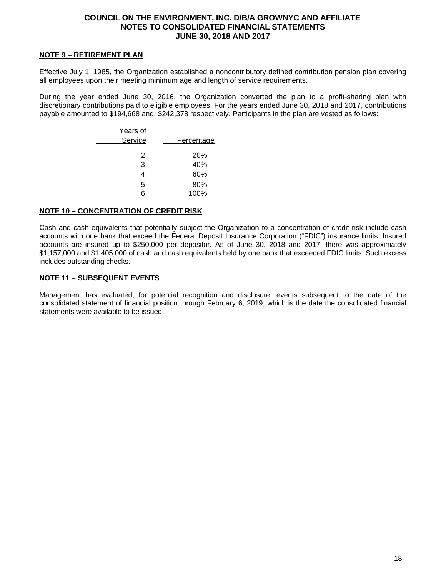### **NOTE 9 – RETIREMENT PLAN**

Effective July 1, 1985, the Organization established a noncontributory defined contribution pension plan covering all employees upon their meeting minimum age and length of service requirements.

During the year ended June 30, 2016, the Organization converted the plan to a profit-sharing plan with discretionary contributions paid to eligible employees. For the years ended June 30, 2018 and 2017, contributions payable amounted to \$194,668 and, \$242,378 respectively. Participants in the plan are vested as follows:

| Years of<br>Service | <b>Percentage</b> |
|---------------------|-------------------|
| 2                   | <b>20%</b>        |
| 3                   | 40%               |
| 4                   | 60%               |
| 5                   | 80%               |
| 6                   | 100%              |
|                     |                   |

#### **NOTE 10 – CONCENTRATION OF CREDIT RISK**

Cash and cash equivalents that potentially subject the Organization to a concentration of credit risk include cash accounts with one bank that exceed the Federal Deposit Insurance Corporation ("FDIC") insurance limits. Insured accounts are insured up to \$250,000 per depositor. As of June 30, 2018 and 2017, there was approximately \$1,157,000 and \$1,405,000 of cash and cash equivalents held by one bank that exceeded FDIC limits. Such excess includes outstanding checks.

### **NOTE 11 – SUBSEQUENT EVENTS**

Management has evaluated, for potential recognition and disclosure, events subsequent to the date of the consolidated statement of financial position through February 6, 2019, which is the date the consolidated financial statements were available to be issued.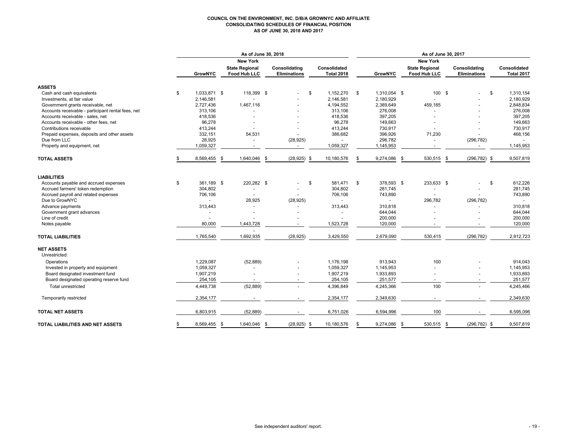#### **COUNCIL ON THE ENVIRONMENT, INC. D/B/A GROWNYC AND AFFILIATE CONSOLIDATING SCHEDULES OF FINANCIAL POSITION AS OF JUNE 30, 2018 AND 2017**

|                                                    | As of June 30, 2018 |      |                                       |      |                                      |                                   | As of June 30, 2017 |                |     |                                              |      |                                      |  |                                   |
|----------------------------------------------------|---------------------|------|---------------------------------------|------|--------------------------------------|-----------------------------------|---------------------|----------------|-----|----------------------------------------------|------|--------------------------------------|--|-----------------------------------|
|                                                    |                     |      | <b>New York</b>                       |      |                                      |                                   | <b>New York</b>     |                |     |                                              |      |                                      |  |                                   |
|                                                    | <b>GrowNYC</b>      |      | <b>State Regional</b><br>Food Hub LLC |      | Consolidating<br><b>Eliminations</b> | Consolidated<br><b>Total 2018</b> |                     | <b>GrowNYC</b> |     | <b>State Regional</b><br><b>Food Hub LLC</b> |      | Consolidating<br><b>Eliminations</b> |  | Consolidated<br><b>Total 2017</b> |
| <b>ASSETS</b>                                      |                     |      |                                       |      |                                      |                                   |                     |                |     |                                              |      |                                      |  |                                   |
| Cash and cash equivalents                          | \$<br>1,033,871 \$  |      | 118,399 \$                            |      |                                      | \$<br>1,152,270                   | \$                  | 1,310,054 \$   |     | 100 \$                                       |      | \$<br>÷.                             |  | 1,310,154                         |
| Investments, at fair value                         | 2,146,581           |      |                                       |      |                                      | 2,146,581                         |                     | 2,180,929      |     |                                              |      |                                      |  | 2,180,929                         |
| Government grants receivable, net                  | 2,727,436           |      | 1,467,116                             |      |                                      | 4,194,552                         |                     | 2,389,649      |     | 459,185                                      |      |                                      |  | 2,848,834                         |
| Accounts receivable - participant rental fees, net | 313,106             |      |                                       |      |                                      | 313,106                           |                     | 276,008        |     |                                              |      |                                      |  | 276,008                           |
| Accounts receivable - sales, net                   | 418,536             |      |                                       |      |                                      | 418,536                           |                     | 397,205        |     |                                              |      |                                      |  | 397,205                           |
| Accounts receivable - other fees, net              | 96,278              |      |                                       |      |                                      | 96,278                            |                     | 149,663        |     |                                              |      |                                      |  | 149,663                           |
| Contributions receivable                           | 413,244             |      |                                       |      |                                      | 413,244                           |                     | 730,917        |     |                                              |      |                                      |  | 730,917                           |
| Prepaid expenses, deposits and other assets        | 332,151             |      | 54,531                                |      |                                      | 386,682                           |                     | 396,926        |     | 71,230                                       |      |                                      |  | 468,156                           |
| Due from LLC                                       | 28,925              |      |                                       |      | (28, 925)                            |                                   |                     | 296,782        |     | ÷.                                           |      | (296, 782)                           |  |                                   |
| Property and equipment, net                        | 1,059,327           |      | $\overline{\phantom{a}}$              |      | $\sim$                               | 1,059,327                         |                     | 1,145,953      |     | $\blacksquare$                               |      |                                      |  | 1,145,953                         |
| <b>TOTAL ASSETS</b>                                | 8,569,455           | - \$ | 1,640,046                             | - \$ | (28, 925)                            | \$<br>10,180,576                  | £.                  | 9,274,086      | -\$ | 530,515                                      | - \$ | (296, 782)<br>- \$                   |  | 9,507,819                         |
| <b>LIABILITIES</b>                                 |                     |      |                                       |      |                                      |                                   |                     |                |     |                                              |      |                                      |  |                                   |
| Accounts payable and accrued expenses              | \$<br>361.189 \$    |      | 220,282 \$                            |      |                                      | \$<br>581.471                     | \$                  | 378,593 \$     |     | 233,633 \$                                   |      | \$                                   |  | 612,226                           |
| Accrued farmers' token redemption                  | 304,802             |      |                                       |      |                                      | 304,802                           |                     | 281,745        |     |                                              |      |                                      |  | 281,745                           |
| Accrued payroll and related expenses               | 706,106             |      |                                       |      |                                      | 706,106                           |                     | 743,890        |     |                                              |      |                                      |  | 743,890                           |
| Due to GrowNYC                                     | $\sim$              |      | 28,925                                |      | (28, 925)                            | $\sim$                            |                     | $\blacksquare$ |     | 296,782                                      |      | (296, 782)                           |  | $\sim$                            |
| Advance payments                                   | 313,443             |      |                                       |      |                                      | 313,443                           |                     | 310,818        |     |                                              |      |                                      |  | 310,818                           |
| Government grant advances                          |                     |      |                                       |      |                                      | $\overline{\phantom{a}}$          |                     | 644,044        |     |                                              |      |                                      |  | 644,044                           |
| Line of credit                                     |                     |      |                                       |      |                                      |                                   |                     | 200,000        |     |                                              |      |                                      |  | 200,000                           |
| Notes payable                                      | 80,000              |      | 1,443,728                             |      |                                      | 1,523,728                         |                     | 120,000        |     |                                              |      |                                      |  | 120,000                           |
| <b>TOTAL LIABILITIES</b>                           | 1,765,540           |      | 1,692,935                             |      | (28, 925)                            | 3,429,550                         |                     | 2,679,090      |     | 530,415                                      |      | (296, 782)                           |  | 2,912,723                         |
| <b>NET ASSETS</b><br>Unrestricted:                 |                     |      |                                       |      |                                      |                                   |                     |                |     |                                              |      |                                      |  |                                   |
| Operations                                         | 1,229,087           |      | (52, 889)                             |      |                                      | 1,176,198                         |                     | 913,943        |     | 100                                          |      |                                      |  | 914,043                           |
| Invested in property and equipment                 | 1,059,327           |      |                                       |      |                                      | 1,059,327                         |                     | 1,145,953      |     |                                              |      |                                      |  | 1,145,953                         |
| Board designated investment fund                   | 1,907,219           |      |                                       |      |                                      | 1,907,219                         |                     | 1,933,893      |     |                                              |      |                                      |  | 1,933,893                         |
| Board designated operating reserve fund            | 254,105             |      |                                       |      |                                      | 254,105                           |                     | 251,577        |     |                                              |      |                                      |  | 251,577                           |
| Total unrestricted                                 | 4,449,738           |      | (52, 889)                             |      | $\sim$                               | 4,396,849                         |                     | 4,245,366      |     | 100                                          |      |                                      |  | 4,245,466                         |
| Temporarily restricted                             | 2,354,177           |      |                                       |      |                                      | 2,354,177                         |                     | 2,349,630      |     |                                              |      |                                      |  | 2,349,630                         |
| <b>TOTAL NET ASSETS</b>                            | 6,803,915           |      | (52, 889)                             |      |                                      | 6,751,026                         |                     | 6,594,996      |     | 100                                          |      |                                      |  | 6,595,096                         |
| TOTAL LIABILITIES AND NET ASSETS                   | \$<br>8,569,455 \$  |      | 1,640,046 \$                          |      | $(28, 925)$ \$                       | 10,180,576                        | \$                  | 9,274,086 \$   |     | 530,515 \$                                   |      | $(296, 782)$ \$                      |  | 9,507,819                         |